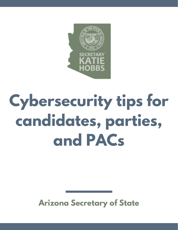

# **Cybersecurity tips for candidates, parties, and PACs**

#### **Arizona Secretary of State**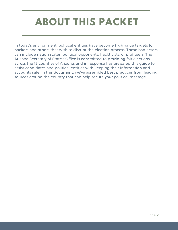# **ABOUT THIS PACKET**

In today's environment, political entities have become high value targets for hackers and others that wish to disrupt the election process. These bad actors can include nation states, political opponents, hacktivists, or profiteers. The Arizona Secretary of State's Office is committed to providing fair elections across the 15 counties of Arizona, and in response has prepared this guide to assist candidates and political entities with keeping their information and accounts safe. In this document, we've assembled best practices from leading sources around the country that can help secure your political message.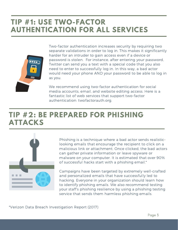#### **TIP #1: USE TWO-FACTOR AUTHENTICATION FOR ALL SERVICES**



Two-factor authentication increases security by requiring two separate validations in order to log in. This makes it significantly harder for an intruder to gain access even if a device or password is stolen. For instance, after entering your password, Twitter can send you a text with a special code that you also need to enter to successfully log in. In this way, a bad actor would need your phone AND your password to be able to log in as you.

We recommend using two-factor authentication for social media accounts, email, and website editing access. Here is a fantastic list of web services that support two-factor authentication: twofactorauth.org.

#### **TIP #2: BE PREPARED FOR PHISHING ATTACKS**



Phishing is a technique where a bad actor sends realisticlooking emails that encourage the recipient to click on a malicious link or attachment. Once clicked, the bad actors can gather private information or leave spyware or malware on your computer. It is estimated that over 90% of successful hacks start with a phishing email.\*

Campaigns have been targeted by extremely well-crafted and personalized emails that have successfully led to hacking. Everyone in your organization should learn how to identify phishing emails. We also recommend testing your staff's phishing resilience by using a phishing testing service that sends them harmless phishing emails.

\*Verizon Data Breach Investigation Report (2017)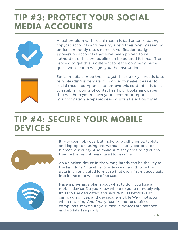# **TIP #3: PROTECT YOUR SOCIAL MEDIA ACCOUNTS**



A real problem with social media is bad actors creating copycat accounts and passing along their own messaging under somebody else's name. A verification badge appears on accounts that have been proven to be authentic so that the public can be assured it is real. The process to get this is different for each company, but a quick web search will get you the instructions.



Social media can be the catalyst that quickly spreads false or misleading information. In order to make it easier for social media companies to remove this content, it is best to establish points of contact early, or bookmark pages that will help you recover your account or report misinformation. Preparedness counts at election time!

### **TIP #4: SECURE YOUR MOBILE DEVICES**



It may seem obvious, but make sure cell phones, tablets and laptops are using passwords, security patterns, or biometric security. Also make sure they are timing out so they lock after not being used for a while.

An unlocked device in the wrong hands can be the key to the kingdom. Critical mobile devices should store their data in an encrypted format so that even if somebody gets into it, the data will be of no use.



Have a pre-made plan about what to do if you lose a mobile device. Do you know where to go to remotely wipe it? Only use dedicated and secure Wi-Fi networks at campaign offices, and use secure mobile Wi-Fi hotspots when traveling. And finally, just like home or office computers, make sure your mobile devices are patched and updated regularly.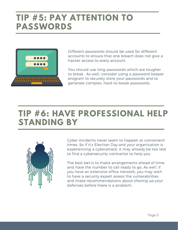## **TIP #5: PAY ATTENTION TO PASSWORDS**



Different passwords should be used for different accounts to ensure that one breach does not give a hacker access to every account.

You should use long passwords which are tougher to break. As well, consider using a password keeper program to securely store your passwords and to generate complex, hard-to-break passwords.

## **TIP #6: HAVE PROFESSIONAL HELP STANDING BY**



Cyber incidents never seem to happen at convenient times. So if it's Election Day and your organization is experiencing a cyberattack, it may already be too late to find a cybersecurity contractor to help you.

The best bet is to make arrangements ahead of time, and have the number to call ready to go. As well, if you have an extensive office network, you may wish to have a security expert assess the vulnerabilities and make recommendations about shoring up your defenses before there is a problem.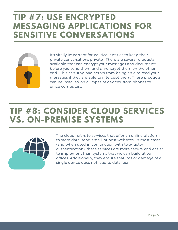#### **TIP #7: USE ENCRYPTED MESSAGING APPLICATIONS FOR SENSITIVE CONVERSATIONS**



It's vitally important for political entities to keep their private conversations private. There are several products available that can encrypt your messages and documents before you send them and un-encrypt them on the other end. This can stop bad actors from being able to read your messages if they are able to intercept them. These products can be installed on all types of devices, from phones to office computers.

## **TIP #8: CONSIDER CLOUD SERVICES VS. ON-PREMISE SYSTEMS**



The cloud refers to services that offer an online platform to store data, send email, or host websites. In most cases (and when used in conjunction with two-factor authentication), these services are more secure and easier to implement than systems that we can build at our offices. Additionally, they ensure that loss or damage of a single device does not lead to data loss.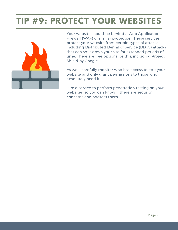# **TIP #9: PROTECT YOUR WEBSITES**



Your website should be behind a Web Application Firewall (WAF) or similar protection. These services protect your website from certain types of attacks, including Distributed Denial of Service (DDoS) attacks that can shut down your site for extended periods of time. There are free options for this, including Project Shield by Google.

As well, carefully monitor who has access to edit your website and only grant permissions to those who absolutely need it.

Hire a service to perform penetration testing on your websites, so you can know if there are security concerns and address them.